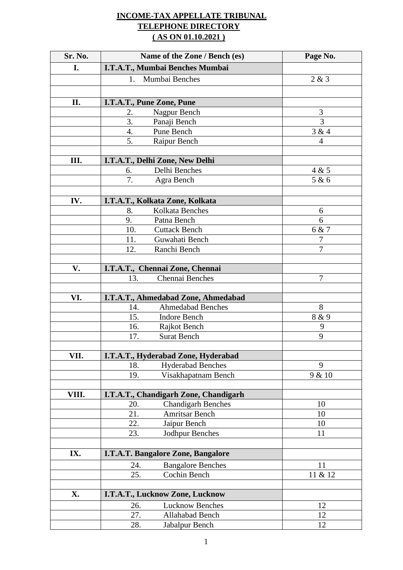## **INCOME-TAX APPELLATE TRIBUNAL TELEPHONE DIRECTORY ( AS ON 01.10.2021 )**

| Sr. No. | Name of the Zone / Bench (es)                            | Page No.       |
|---------|----------------------------------------------------------|----------------|
| I.      | I.T.A.T., Mumbai Benches Mumbai                          |                |
|         | Mumbai Benches<br>1.                                     | 2 & 3          |
|         |                                                          |                |
| II.     | I.T.A.T., Pune Zone, Pune                                |                |
|         | Nagpur Bench<br>2.                                       | $\mathfrak{Z}$ |
|         | 3.<br>Panaji Bench                                       | 3              |
|         | $\overline{4}$ .<br>Pune Bench                           | 3 & 4          |
|         | 5.<br>Raipur Bench                                       | 4              |
|         |                                                          |                |
| III.    | I.T.A.T., Delhi Zone, New Delhi                          |                |
|         | Delhi Benches<br>6.                                      | 4 & 5          |
|         | 7.<br>Agra Bench                                         | 5 & 6          |
|         |                                                          |                |
| IV.     | I.T.A.T., Kolkata Zone, Kolkata<br>Kolkata Benches<br>8. | 6              |
|         | 9.<br>Patna Bench                                        | 6              |
|         | 10.<br><b>Cuttack Bench</b>                              | 6 & 7          |
|         | Guwahati Bench<br>11.                                    | $\overline{7}$ |
|         | 12.<br>Ranchi Bench                                      | $\overline{7}$ |
|         |                                                          |                |
| V.      | I.T.A.T., Chennai Zone, Chennai                          |                |
|         | 13.<br>Chennai Benches                                   | 7              |
|         |                                                          |                |
| VI.     | I.T.A.T., Ahmedabad Zone, Ahmedabad                      |                |
|         | <b>Ahmedabad Benches</b><br>14.                          | 8              |
|         | 15.<br><b>Indore Bench</b>                               | 8 & 9          |
|         | 16.<br>Rajkot Bench                                      | 9              |
|         | <b>Surat Bench</b><br>17.                                | 9              |
| VII.    | I.T.A.T., Hyderabad Zone, Hyderabad                      |                |
|         | <b>Hyderabad Benches</b><br>18.                          | 9              |
|         | Visakhapatnam Bench<br>19.                               | 9 & 10         |
|         |                                                          |                |
| VIII.   | I.T.A.T., Chandigarh Zone, Chandigarh                    |                |
|         | <b>Chandigarh Benches</b><br>20.                         | 10             |
|         | 21.<br><b>Amritsar Bench</b>                             | 10             |
|         | 22.<br>Jaipur Bench                                      | 10             |
|         | 23.<br>Jodhpur Benches                                   | 11             |
| IX.     | I.T.A.T. Bangalore Zone, Bangalore                       |                |
|         | <b>Bangalore Benches</b><br>24.                          | 11             |
|         | 25.<br>Cochin Bench                                      | 11 & 12        |
|         |                                                          |                |
| X.      | I.T.A.T., Lucknow Zone, Lucknow                          |                |
|         | <b>Lucknow Benches</b><br>26.                            | 12             |
|         | 27.<br>Allahabad Bench                                   | 12             |
|         | 28.<br>Jabalpur Bench                                    | 12             |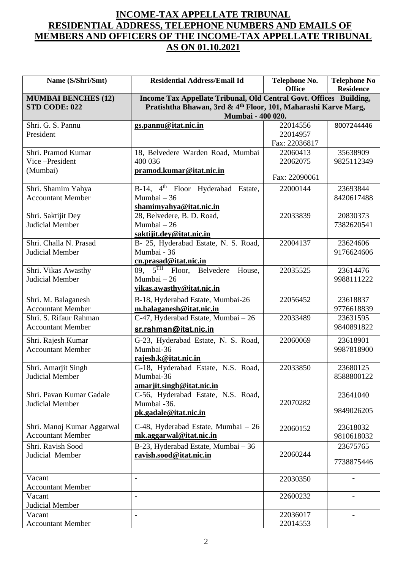## **INCOME-TAX APPELLATE TRIBUNAL RESIDENTIAL ADDRESS, TELEPHONE NUMBERS AND EMAILS OF MEMBERS AND OFFICERS OF THE INCOME-TAX APPELLATE TRIBUNAL AS ON 01.10.2021**

| Name (S/Shri/Smt)                           | <b>Residential Address/Email Id</b>                                                             | Telephone No.<br><b>Office</b> | <b>Telephone No</b><br><b>Residence</b> |
|---------------------------------------------|-------------------------------------------------------------------------------------------------|--------------------------------|-----------------------------------------|
| <b>MUMBAI BENCHES (12)</b><br>STD CODE: 022 | Income Tax Appellate Tribunal, Old Central Govt. Offices Building,                              |                                |                                         |
|                                             | Pratishtha Bhawan, 3rd & 4 <sup>th</sup> Floor, 101, Maharashi Karve Marg,<br>Mumbai - 400 020. |                                |                                         |
| Shri. G. S. Pannu                           | gs.pannu@itat.nic.in                                                                            | 22014556                       | 8007244446                              |
| President                                   |                                                                                                 | 22014957                       |                                         |
|                                             |                                                                                                 | Fax: 22036817                  |                                         |
| Shri. Pramod Kumar                          | 18, Belvedere Warden Road, Mumbai                                                               | 22060413                       | 35638909                                |
| Vice-President                              | 400 036                                                                                         | 22062075                       | 9825112349                              |
| (Mumbai)                                    | pramod.kumar@itat.nic.in                                                                        | Fax: 22090061                  |                                         |
| Shri. Shamim Yahya                          | B-14, 4 <sup>th</sup> Floor Hyderabad Estate,                                                   | 22000144                       | 23693844                                |
| <b>Accountant Member</b>                    | Mumbai - 36                                                                                     |                                | 8420617488                              |
|                                             | shamimyahya@itat.nic.in                                                                         |                                |                                         |
| Shri. Saktijit Dey                          | 28, Belvedere, B. D. Road,                                                                      | 22033839                       | 20830373                                |
| <b>Judicial Member</b>                      | Mumbai $-26$                                                                                    |                                | 7382620541                              |
|                                             | saktijit.dey@itat.nic.in                                                                        |                                |                                         |
| Shri. Challa N. Prasad                      | B- 25, Hyderabad Estate, N. S. Road,                                                            | 22004137                       | 23624606                                |
| Judicial Member                             | Mumbai - 36                                                                                     |                                | 9176624606                              |
|                                             | cn.prasad@itat.nic.in                                                                           |                                |                                         |
| Shri. Vikas Awasthy                         | 09, $5TH$ Floor,<br>Belvedere<br>House,                                                         | 22035525                       | 23614476                                |
| Judicial Member                             | Mumbai $-26$                                                                                    |                                | 9988111222                              |
|                                             | vikas.awasthy@itat.nic.in                                                                       |                                |                                         |
| Shri. M. Balaganesh                         | B-18, Hyderabad Estate, Mumbai-26                                                               | 22056452                       | 23618837                                |
| <b>Accountant Member</b>                    | m.balaganesh@itat.nic.in                                                                        |                                | 9776618839                              |
| Shri. S. Rifaur Rahman                      | C-47, Hyderabad Estate, Mumbai - 26                                                             | 22033489                       | 23631595                                |
| <b>Accountant Member</b>                    | sr.rahman@itat.nic.in                                                                           |                                | 9840891822                              |
| Shri. Rajesh Kumar                          | G-23, Hyderabad Estate, N. S. Road,                                                             | 22060069                       | 23618901                                |
| <b>Accountant Member</b>                    | Mumbai-36                                                                                       |                                | 9987818900                              |
|                                             | rajesh.k@itat.nic.in                                                                            |                                |                                         |
| Shri. Amarjit Singh                         | G-18, Hyderabad Estate, N.S. Road,                                                              | 22033850                       | 23680125                                |
| Judicial Member                             | Mumbai-36                                                                                       |                                | 8588800122                              |
| Shri. Pavan Kumar Gadale                    | amarjit.singh@itat.nic.in<br>C-56, Hyderabad Estate, N.S. Road,                                 |                                | 23641040                                |
| Judicial Member                             | Mumbai -36.                                                                                     | 22070282                       |                                         |
|                                             | pk.gadale@itat.nic.in                                                                           |                                | 9849026205                              |
|                                             |                                                                                                 |                                |                                         |
| Shri. Manoj Kumar Aggarwal                  | C-48, Hyderabad Estate, Mumbai - 26                                                             | 22060152                       | 23618032                                |
| <b>Accountant Member</b>                    | mk.aggarwal@itat.nic.in                                                                         |                                | 9810618032                              |
| Shri. Ravish Sood                           | B-23, Hyderabad Estate, Mumbai - 36                                                             |                                | 23675765                                |
| Judicial Member                             | ravish.sood@itat.nic.in                                                                         | 22060244                       | 7738875446                              |
|                                             |                                                                                                 |                                |                                         |
| Vacant                                      | $\overline{\phantom{a}}$                                                                        | 22030350                       |                                         |
| <b>Accountant Member</b>                    |                                                                                                 |                                |                                         |
| Vacant                                      |                                                                                                 | 22600232                       |                                         |
| Judicial Member                             |                                                                                                 |                                |                                         |
| Vacant                                      |                                                                                                 | 22036017                       |                                         |
| <b>Accountant Member</b>                    |                                                                                                 | 22014553                       |                                         |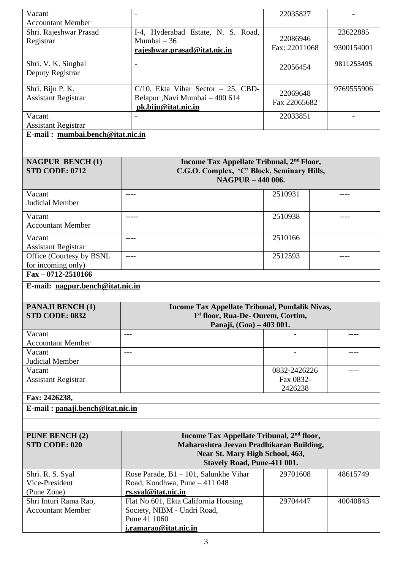| Vacant                                            |                                                                     | 22035827      |               |
|---------------------------------------------------|---------------------------------------------------------------------|---------------|---------------|
| <b>Accountant Member</b>                          |                                                                     |               |               |
| Shri. Rajeshwar Prasad                            | I-4, Hyderabad Estate, N. S. Road,                                  | 22086946      | 23622885      |
| Registrar                                         | Mumbai $-36$                                                        | Fax: 22011068 | 9300154001    |
|                                                   | rajeshwar.prasad@itat.nic.in                                        |               |               |
| Shri. V. K. Singhal                               | $\overline{\phantom{a}}$                                            | 22056454      | 9811253495    |
| Deputy Registrar                                  |                                                                     |               |               |
|                                                   |                                                                     |               |               |
| Shri. Biju P. K.                                  | $C/10$ , Ekta Vihar Sector - 25, CBD-                               | 22069648      | 9769555906    |
| <b>Assistant Registrar</b>                        | Belapur , Navi Mumbai - 400 614                                     | Fax 22065682  |               |
| Vacant                                            | pk.biju@itat.nic.in                                                 | 22033851      |               |
| <b>Assistant Registrar</b>                        |                                                                     |               |               |
| E-mail: mumbai.bench@itat.nic.in                  |                                                                     |               |               |
|                                                   |                                                                     |               |               |
|                                                   |                                                                     |               |               |
| <b>NAGPUR BENCH(1)</b>                            | Income Tax Appellate Tribunal, 2 <sup>nd</sup> Floor,               |               |               |
| <b>STD CODE: 0712</b>                             | C.G.O. Complex, 'C' Block, Seminary Hills,                          |               |               |
|                                                   | <b>NAGPUR - 440 006.</b>                                            |               |               |
| Vacant                                            | ----                                                                | 2510931       | ----          |
| <b>Judicial Member</b>                            |                                                                     |               |               |
|                                                   |                                                                     |               |               |
| Vacant<br><b>Accountant Member</b>                | -----                                                               | 2510938       | $---$         |
|                                                   |                                                                     |               |               |
| Vacant                                            | $\frac{1}{2}$                                                       | 2510166       |               |
| <b>Assistant Registrar</b>                        |                                                                     |               |               |
| Office (Courtesy by BSNL                          | $---$                                                               | 2512593       | $\frac{1}{2}$ |
| for incoming only)                                |                                                                     |               |               |
|                                                   |                                                                     |               |               |
| $Fax - 0712 - 2510166$                            |                                                                     |               |               |
| E-mail: nagpur.bench@itat.nic.in                  |                                                                     |               |               |
|                                                   |                                                                     |               |               |
| <b>PANAJI BENCH (1)</b>                           | Income Tax Appellate Tribunal, Pundalik Nivas,                      |               |               |
| <b>STD CODE: 0832</b>                             | 1 <sup>st</sup> floor, Rua-De- Ourem, Cortim,                       |               |               |
|                                                   | Panaji, (Goa) - 403 001.<br>$\qquad \qquad - -$                     |               | ----          |
| Vacant                                            |                                                                     |               |               |
| <b>Accountant Member</b><br>Vacant                | ---                                                                 |               |               |
| Judicial Member                                   |                                                                     |               |               |
| Vacant                                            |                                                                     | 0832-2426226  | ----          |
| <b>Assistant Registrar</b>                        |                                                                     | Fax 0832-     |               |
|                                                   |                                                                     | 2426238       |               |
| Fax: 2426238,                                     |                                                                     |               |               |
| E-mail: panaji.bench@itat.nic.in                  |                                                                     |               |               |
|                                                   |                                                                     |               |               |
|                                                   |                                                                     |               |               |
| <b>PUNE BENCH (2)</b>                             | Income Tax Appellate Tribunal, 2 <sup>nd</sup> floor,               |               |               |
| STD CODE: 020                                     | Maharashtra Jeevan Pradhikaran Building,                            |               |               |
|                                                   | Near St. Mary High School, 463,                                     |               |               |
|                                                   | <b>Stavely Road, Pune-411 001.</b>                                  |               |               |
| Shri. R. S. Syal                                  | Rose Parade, $B1 - 101$ , Salunkhe Vihar                            | 29701608      | 48615749      |
| Vice-President                                    | Road, Kondhwa, Pune - 411 048                                       |               |               |
| (Pune Zone)                                       | rs.syal@itat.nic.in                                                 | 29704447      | 40040843      |
| Shri Inturi Rama Rao,<br><b>Accountant Member</b> | Flat No.601, Ekta California Housing<br>Society, NIBM - Undri Road, |               |               |
|                                                   | Pune 41 1060                                                        |               |               |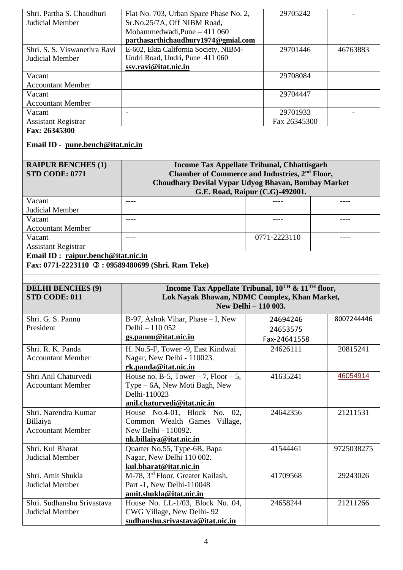| Shri. Partha S. Chaudhuri<br>Judicial Member                 | Flat No. 703, Urban Space Phase No. 2,<br>Sr.No.25/7A, Off NIBM Road,<br>Mohammedwadi, Pune - 411 060<br>parthasarthichaudhury1974@gmial.com                            | 29705242                        |            |
|--------------------------------------------------------------|-------------------------------------------------------------------------------------------------------------------------------------------------------------------------|---------------------------------|------------|
| Shri. S. S. Viswanethra Ravi<br>Judicial Member              | E-602, Ekta California Society, NIBM-<br>Undri Road, Undri, Pune 411 060<br>ssv.ravi@itat.nic.in                                                                        | 29701446                        | 46763883   |
| Vacant<br><b>Accountant Member</b>                           |                                                                                                                                                                         | 29708084                        |            |
| Vacant<br><b>Accountant Member</b>                           |                                                                                                                                                                         | 29704447                        |            |
| Vacant                                                       | $\blacksquare$                                                                                                                                                          | 29701933                        |            |
| <b>Assistant Registrar</b><br>Fax: 26345300                  |                                                                                                                                                                         | Fax 26345300                    |            |
| Email ID - pune.bench@itat.nic.in                            |                                                                                                                                                                         |                                 |            |
|                                                              |                                                                                                                                                                         |                                 |            |
| <b>RAIPUR BENCHES (1)</b><br><b>STD CODE: 0771</b>           | <b>Income Tax Appellate Tribunal, Chhattisgarh</b><br>Chamber of Commerce and Industries, 2 <sup>nd</sup> Floor,<br>Choudhary Devilal Vypar Udyog Bhavan, Bombay Market | G.E. Road, Raipur (C.G)-492001. |            |
| Vacant<br>Judicial Member                                    | $---$                                                                                                                                                                   |                                 |            |
| Vacant<br><b>Accountant Member</b>                           | $---$                                                                                                                                                                   |                                 |            |
| Vacant<br><b>Assistant Registrar</b>                         | $---$                                                                                                                                                                   | 0771-2223110                    | ----       |
| $\overline{\text{Email ID}}$ : raipur.bench@itat.nic.in      |                                                                                                                                                                         |                                 |            |
| Fax: 0771-2223110 0: 09589480699 (Shri. Ram Teke)            |                                                                                                                                                                         |                                 |            |
|                                                              |                                                                                                                                                                         |                                 |            |
| <b>DELHI BENCHES (9)</b><br><b>STD CODE: 011</b>             | Income Tax Appellate Tribunal, $10^{TH}$ & $11^{TH}$ floor,<br>Lok Nayak Bhawan, NDMC Complex, Khan Market,                                                             | New Delhi - 110 003.            |            |
| Shri. G. S. Pannu                                            | $B-97$ , Ashok Vihar, Phase $-I$ , New                                                                                                                                  | 24694246                        | 8007244446 |
| President                                                    | Delhi - 110 052                                                                                                                                                         | 24653575                        |            |
|                                                              | gs.pannu@itat.nic.in                                                                                                                                                    | Fax-24641558                    |            |
| Shri. R. K. Panda<br><b>Accountant Member</b>                | H. No.5-F, Tower -9, East Kindwai<br>Nagar, New Delhi - 110023.<br>rk.panda@itat.nic.in                                                                                 | 24626111                        | 20815241   |
| Shri Anil Chaturvedi<br><b>Accountant Member</b>             | House no. B-5, Tower $-7$ , Floor $-5$ ,<br>Type – 6A, New Moti Bagh, New<br>Delhi-110023<br>anil.chaturvedi@itat.nic.in                                                | 41635241                        | 46054914   |
| Shri. Narendra Kumar<br>Billaiya<br><b>Accountant Member</b> | House No.4-01, Block No. 02,<br>Common Wealth Games Village,<br>New Delhi - 110092.<br>nk.billaiya@itat.nic.in                                                          | 24642356                        | 21211531   |
| Shri. Kul Bharat<br>Judicial Member                          | Quarter No.55, Type-6B, Bapa                                                                                                                                            | 41544461                        | 9725038275 |
|                                                              | Nagar, New Delhi 110 002.<br>kul.bharat@itat.nic.in                                                                                                                     |                                 |            |
| Shri. Amit Shukla<br>Judicial Member                         | M-78, 3 <sup>rd</sup> Floor, Greater Kailash,<br>Part -1, New Delhi-110048<br>amit.shukla@itat.nic.in                                                                   | 41709568                        | 29243026   |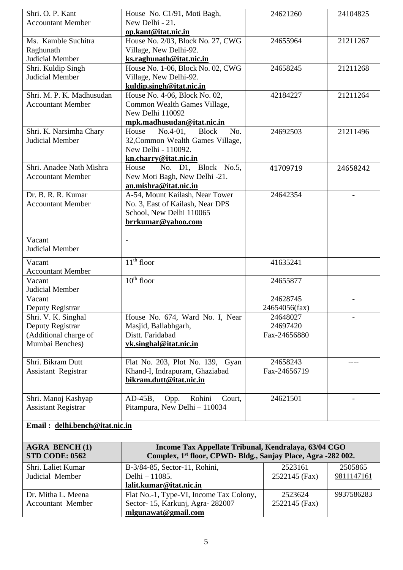| Shri. O. P. Kant               | House No. C1/91, Moti Bagh,                                               | 24621260      | 24104825   |
|--------------------------------|---------------------------------------------------------------------------|---------------|------------|
| <b>Accountant Member</b>       | New Delhi - 21.                                                           |               |            |
|                                | op.kant@itat.nic.in                                                       |               |            |
| Ms. Kamble Suchitra            | House No. 2/03, Block No. 27, CWG                                         | 24655964      | 21211267   |
| Raghunath                      | Village, New Delhi-92.                                                    |               |            |
| <b>Judicial Member</b>         | ks.raghunath@itat.nic.in                                                  |               |            |
| Shri. Kuldip Singh             | House No. 1-06, Block No. 02, CWG                                         | 24658245      | 21211268   |
| Judicial Member                | Village, New Delhi-92.                                                    |               |            |
| Shri. M. P. K. Madhusudan      | kuldip.singh@itat.nic.in                                                  |               |            |
| <b>Accountant Member</b>       | House No. 4-06, Block No. 02,<br>Common Wealth Games Village,             | 42184227      | 21211264   |
|                                | New Delhi 110092                                                          |               |            |
|                                | mpk.madhusudan@itat.nic.in                                                |               |            |
| Shri. K. Narsimha Chary        | $No.4-01,$<br><b>Block</b><br>No.<br>House                                | 24692503      | 21211496   |
| <b>Judicial Member</b>         | 32, Common Wealth Games Village,                                          |               |            |
|                                | New Delhi - 110092.                                                       |               |            |
|                                | kn.charry@itat.nic.in                                                     |               |            |
| Shri. Anadee Nath Mishra       | No. D1, Block No.5,<br>House                                              | 41709719      | 24658242   |
| <b>Accountant Member</b>       | New Moti Bagh, New Delhi -21.                                             |               |            |
|                                | an.mishra@itat.nic.in                                                     |               |            |
| Dr. B. R. R. Kumar             | A-54, Mount Kailash, Near Tower                                           | 24642354      |            |
| <b>Accountant Member</b>       | No. 3, East of Kailash, Near DPS                                          |               |            |
|                                | School, New Delhi 110065                                                  |               |            |
|                                | brrkumar@yahoo.com                                                        |               |            |
|                                |                                                                           |               |            |
| Vacant                         | $\blacksquare$                                                            |               |            |
| <b>Judicial Member</b>         |                                                                           |               |            |
| Vacant                         | $11th$ floor                                                              | 41635241      |            |
| <b>Accountant Member</b>       |                                                                           |               |            |
| Vacant                         | $10th$ floor                                                              | 24655877      |            |
| Judicial Member                |                                                                           |               |            |
| Vacant                         |                                                                           | 24628745      |            |
| Deputy Registrar               |                                                                           | 24654056(fax) |            |
| Shri. V. K. Singhal            | House No. 674, Ward No. I, Near                                           | 24648027      |            |
| Deputy Registrar               | Masjid, Ballabhgarh,                                                      | 24697420      |            |
| (Additional charge of          | Distt. Faridabad                                                          | Fax-24656880  |            |
| Mumbai Benches)                | vk.singhal@itat.nic.in                                                    |               |            |
|                                |                                                                           |               |            |
| Shri. Bikram Dutt              | Flat No. 203, Plot No. 139, Gyan                                          | 24658243      | ----       |
| Assistant Registrar            | Khand-I, Indrapuram, Ghaziabad                                            | Fax-24656719  |            |
|                                | bikram.dutt@itat.nic.in                                                   |               |            |
|                                |                                                                           |               |            |
| Shri. Manoj Kashyap            | $AD-45B$ ,<br>Rohini<br>Opp.<br>Court,                                    | 24621501      |            |
| <b>Assistant Registrar</b>     | Pitampura, New Delhi - 110034                                             |               |            |
|                                |                                                                           |               |            |
| Email: delhi.bench@itat.nic.in |                                                                           |               |            |
| <b>AGRA BENCH(1)</b>           | Income Tax Appellate Tribunal, Kendralaya, 63/04 CGO                      |               |            |
| <b>STD CODE: 0562</b>          | Complex, 1 <sup>st</sup> floor, CPWD- Bldg., Sanjay Place, Agra -282 002. |               |            |
| Shri. Laliet Kumar             | B-3/84-85, Sector-11, Rohini,                                             | 2523161       | 2505865    |
| Judicial Member                | Delhi - 11085.                                                            | 2522145 (Fax) | 9811147161 |
|                                | lalit.kumar@itat.nic.in                                                   |               |            |
| Dr. Mitha L. Meena             | Flat No.-1, Type-VI, Income Tax Colony,                                   | 2523624       | 9937586283 |
| <b>Accountant Member</b>       | Sector-15, Karkunj, Agra-282007                                           | 2522145 (Fax) |            |
|                                | mlgunawat@gmail.com                                                       |               |            |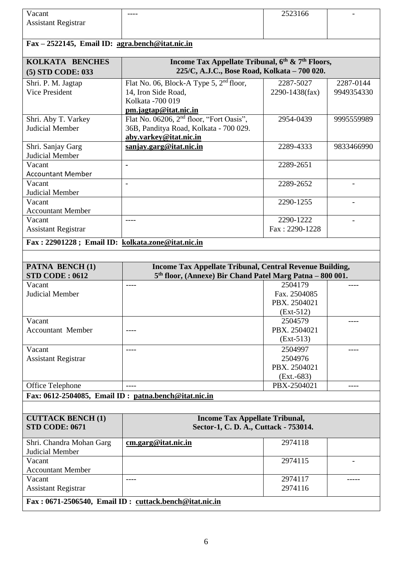| Vacant                                            |                                                           | 2523166        |            |
|---------------------------------------------------|-----------------------------------------------------------|----------------|------------|
| <b>Assistant Registrar</b>                        |                                                           |                |            |
|                                                   |                                                           |                |            |
|                                                   |                                                           |                |            |
| Fax - 2522145, Email ID: agra.bench@itat.nic.in   |                                                           |                |            |
| KOLKATA BENCHES                                   | Income Tax Appellate Tribunal, 6th & 7th Floors,          |                |            |
| (5) STD CODE: 033                                 | 225/C, A.J.C., Bose Road, Kolkata - 700 020.              |                |            |
| Shri. P. M. Jagtap                                | Flat No. 06, Block-A Type 5, 2 <sup>nd</sup> floor,       | 2287-5027      | 2287-0144  |
| Vice President                                    | 14, Iron Side Road,                                       | 2290-1438(fax) | 9949354330 |
|                                                   | Kolkata - 700 019                                         |                |            |
|                                                   | pm.jagtap@itat.nic.in                                     |                |            |
| Shri. Aby T. Varkey                               | Flat No. 06206, $2nd$ floor, "Fort Oasis",                | 2954-0439      | 9995559989 |
| <b>Judicial Member</b>                            | 36B, Panditya Road, Kolkata - 700 029.                    |                |            |
|                                                   | aby.varkey@itat.nic.in                                    |                |            |
| Shri. Sanjay Garg                                 | sanjay.garg@itat.nic.in                                   | 2289-4333      | 9833466990 |
| Judicial Member                                   |                                                           |                |            |
| Vacant                                            |                                                           | 2289-2651      |            |
| <b>Accountant Member</b>                          |                                                           |                |            |
| Vacant                                            | $\blacksquare$                                            | 2289-2652      |            |
| Judicial Member                                   |                                                           |                |            |
| Vacant                                            |                                                           | 2290-1255      |            |
| <b>Accountant Member</b>                          |                                                           |                |            |
| Vacant                                            |                                                           | 2290-1222      |            |
| <b>Assistant Registrar</b>                        |                                                           | Fax: 2290-1228 |            |
|                                                   |                                                           |                |            |
| Fax: 22901228; Email ID: kolkata.zone@itat.nic.in |                                                           |                |            |
|                                                   |                                                           |                |            |
|                                                   |                                                           |                |            |
| <b>PATNA BENCH(1)</b>                             | Income Tax Appellate Tribunal, Central Revenue Building,  |                |            |
| <b>STD CODE: 0612</b>                             | 5th floor, (Annexe) Bir Chand Patel Marg Patna - 800 001. |                |            |
| Vacant                                            | ----                                                      | 2504179        |            |
| Judicial Member                                   |                                                           | Fax. 2504085   |            |
|                                                   |                                                           | PBX. 2504021   |            |
|                                                   |                                                           | $(Ext-512)$    |            |
| Vacant                                            |                                                           | 2504579        |            |
| <b>Accountant Member</b>                          |                                                           | PBX. 2504021   |            |
|                                                   |                                                           | $(Ext-513)$    |            |
| Vacant                                            | ----                                                      | 2504997        |            |
| <b>Assistant Registrar</b>                        |                                                           | 2504976        |            |
|                                                   |                                                           | PBX. 2504021   |            |
|                                                   |                                                           | $(Ext.-683)$   |            |
| Office Telephone                                  |                                                           | PBX-2504021    |            |
|                                                   | Fax: 0612-2504085, Email ID: patna.bench@itat.nic.in      |                |            |
|                                                   |                                                           |                |            |
| <b>CUTTACK BENCH (1)</b>                          | <b>Income Tax Appellate Tribunal,</b>                     |                |            |
| <b>STD CODE: 0671</b>                             | Sector-1, C. D. A., Cuttack - 753014.                     |                |            |
|                                                   |                                                           |                |            |
| Shri. Chandra Mohan Garg                          | cm.garg@itat.nic.in                                       | 2974118        |            |
| Judicial Member                                   |                                                           |                |            |
| Vacant                                            |                                                           | 2974115        |            |
| <b>Accountant Member</b>                          |                                                           |                |            |
| Vacant                                            |                                                           | 2974117        |            |
| <b>Assistant Registrar</b>                        |                                                           | 2974116        |            |
|                                                   | Fax: 0671-2506540, Email ID: cuttack.bench@itat.nic.in    |                |            |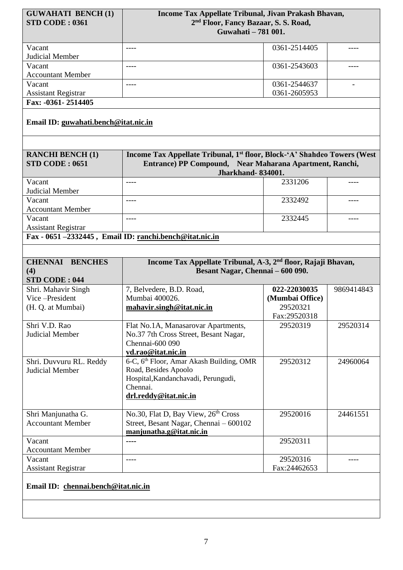| <b>GUWAHATI BENCH (1)</b>            | Income Tax Appellate Tribunal, Jivan Prakash Bhavan,                                 |                 |            |
|--------------------------------------|--------------------------------------------------------------------------------------|-----------------|------------|
| <b>STD CODE: 0361</b>                | 2 <sup>nd</sup> Floor, Fancy Bazaar, S. S. Road,<br>Guwahati - 781 001.              |                 |            |
|                                      |                                                                                      |                 |            |
| Vacant                               | ----                                                                                 | 0361-2514405    |            |
| <b>Judicial Member</b>               |                                                                                      |                 |            |
| Vacant                               | $\frac{1}{2}$                                                                        | 0361-2543603    | ----       |
| <b>Accountant Member</b>             |                                                                                      |                 |            |
| Vacant                               | $---$                                                                                | 0361-2544637    |            |
| <b>Assistant Registrar</b>           |                                                                                      | 0361-2605953    |            |
| Fax: -0361-2514405                   |                                                                                      |                 |            |
| Email ID: guwahati.bench@itat.nic.in |                                                                                      |                 |            |
|                                      |                                                                                      |                 |            |
| <b>RANCHI BENCH (1)</b>              | Income Tax Appellate Tribunal, 1 <sup>st</sup> floor, Block-'A' Shahdeo Towers (West |                 |            |
| STD CODE: 0651                       | Entrance) PP Compound, Near Maharana Apartment, Ranchi,                              |                 |            |
|                                      | <b>Jharkhand-834001.</b>                                                             |                 |            |
| Vacant                               |                                                                                      | 2331206         |            |
| Judicial Member                      |                                                                                      |                 |            |
| Vacant                               | $- - - -$                                                                            | 2332492         | ----       |
| <b>Accountant Member</b>             |                                                                                      |                 |            |
| Vacant                               | ----                                                                                 | 2332445         | ----       |
| <b>Assistant Registrar</b>           |                                                                                      |                 |            |
|                                      | Fax - 0651 -2332445, Email ID: ranchi.bench@itat.nic.in                              |                 |            |
|                                      |                                                                                      |                 |            |
|                                      | Income Tax Appellate Tribunal, A-3, 2 <sup>nd</sup> floor, Rajaji Bhavan,            |                 |            |
| <b>CHENNAI BENCHES</b>               |                                                                                      |                 |            |
| (4)                                  | Besant Nagar, Chennai - 600 090.                                                     |                 |            |
| <b>STD CODE: 044</b>                 |                                                                                      |                 |            |
| Shri. Mahavir Singh                  | 7, Belvedere, B.D. Road,                                                             | 022-22030035    | 9869414843 |
| Vice-President                       | Mumbai 400026.                                                                       | (Mumbai Office) |            |
| (H. Q. at Mumbai)                    | mahavir.singh@itat.nic.in                                                            | 29520321        |            |
|                                      |                                                                                      | Fax:29520318    |            |
| Shri V.D. Rao                        | Flat No.1A, Manasarovar Apartments,                                                  | 29520319        | 29520314   |
| Judicial Member                      | No.37 7th Cross Street, Besant Nagar,                                                |                 |            |
|                                      | Chennai-600 090                                                                      |                 |            |
|                                      | vd.rao@itat.nic.in                                                                   |                 |            |
| Shri. Duvvuru RL. Reddy              | 6-C, 6 <sup>th</sup> Floor, Amar Akash Building, OMR                                 | 29520312        | 24960064   |
| Judicial Member                      | Road, Besides Apoolo                                                                 |                 |            |
|                                      | Hospital, Kandanchavadi, Perungudi,<br>Chennai.                                      |                 |            |
|                                      |                                                                                      |                 |            |
|                                      | drl.reddy@itat.nic.in                                                                |                 |            |
| Shri Manjunatha G.                   | No.30, Flat D, Bay View, 26 <sup>th</sup> Cross                                      | 29520016        | 24461551   |
| <b>Accountant Member</b>             | Street, Besant Nagar, Chennai - 600102                                               |                 |            |
|                                      | manjunatha.g@itat.nic.in                                                             |                 |            |
| Vacant                               | ----                                                                                 | 29520311        |            |
| <b>Accountant Member</b>             |                                                                                      |                 |            |
| Vacant                               |                                                                                      | 29520316        |            |
| <b>Assistant Registrar</b>           |                                                                                      | Fax:24462653    |            |
| Email ID: chennai.bench@itat.nic.in  |                                                                                      |                 |            |
|                                      |                                                                                      |                 |            |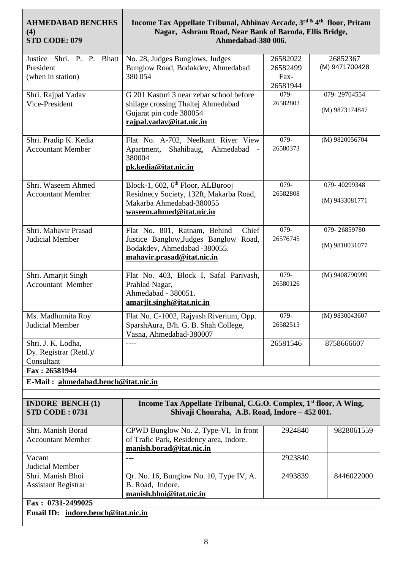| <b>AHMEDABAD BENCHES</b><br>(4)<br>STD CODE: 079            | Income Tax Appellate Tribunal, Abhinav Arcade, 3rd & 4th floor, Pritam<br>Nagar, Ashram Road, Near Bank of Baroda, Ellis Bridge,<br>Ahmedabad-380 006. |                                          |                                |  |
|-------------------------------------------------------------|--------------------------------------------------------------------------------------------------------------------------------------------------------|------------------------------------------|--------------------------------|--|
| Justice Shri. P. P. Bhatt<br>President<br>(when in station) | No. 28, Judges Bunglows, Judges<br>Bunglow Road, Bodakdev, Ahmedabad<br>380 054                                                                        | 26582022<br>26582499<br>Fax-<br>26581944 | 26852367<br>(M) 9471700428     |  |
| Shri. Rajpal Yadav<br>Vice-President                        | G 201 Kasturi 3 near zebar school before<br>shilage crossing Thaltej Ahmedabad<br>Gujarat pin code 380054<br>rajpal.yadav@itat.nic.in                  | 079-<br>26582803                         | 079-29704554<br>(M) 9873174847 |  |
| Shri. Pradip K. Kedia<br><b>Accountant Member</b>           | Flat No. A-702, Neelkant River View<br>Apartment, Shahibaug, Ahmedabad<br>380004<br>pk.kedia@itat.nic.in                                               | 079-<br>26580373                         | (M) 9820056704                 |  |
| Shri. Waseem Ahmed<br><b>Accountant Member</b>              | Block-1, 602, 6 <sup>th</sup> Floor, ALBurooj<br>Residnecy Society, 132ft, Makarba Road,<br>Makarba Ahmedabad-380055<br>waseem.ahmed@itat.nic.in       | 079-<br>26582808                         | 079-40299348<br>(M) 9433081771 |  |
| Shri. Mahavir Prasad<br>Judicial Member                     | Chief<br>Flat No. 801, Ratnam, Behind<br>Justice Banglow, Judges Banglow<br>Road,<br>Bodakdev, Ahmedabad -380055.<br>mahavir.prasad@itat.nic.in        | 079-<br>26576745                         | 079-26859780<br>(M) 9810031077 |  |
| Shri. Amarjit Singh<br><b>Accountant Member</b>             | Flat No. 403, Block I, Safal Parivash,<br>Prahlad Nagar,<br>Ahmedabad - 380051.<br>amarjit.singh@itat.nic.in                                           | 079-<br>26580126                         | (M) 9408790999                 |  |
| Ms. Madhumita Roy<br><b>Judicial Member</b>                 | Flat No. C-1002, Rajyash Riverium, Opp.<br>SparshAura, B/h. G. B. Shah College,<br>Vasna, Ahmedabad-380007                                             | 079-<br>26582513                         | (M) 9830043607                 |  |
| Shri. J. K. Lodha,<br>Dy. Registrar (Retd.)/<br>Consultant  |                                                                                                                                                        | 26581546                                 | 8758666607                     |  |
| Fax: 26581944<br>E-Mail: ahmedabad.bench@itat.nic.in        |                                                                                                                                                        |                                          |                                |  |
|                                                             |                                                                                                                                                        |                                          |                                |  |
| <b>INDORE BENCH (1)</b><br><b>STD CODE: 0731</b>            | Income Tax Appellate Tribunal, C.G.O. Complex, 1 <sup>st</sup> floor, A Wing,<br>Shivaji Chouraha, A.B. Road, Indore - 452 001.                        |                                          |                                |  |
| Shri. Manish Borad<br><b>Accountant Member</b>              | CPWD Bunglow No. 2, Type-VI, In front<br>of Trafic Park, Residency area, Indore.<br>manish.borad@itat.nic.in                                           | 2924840                                  | 9828061559                     |  |
| Vacant<br>Judicial Member                                   | $---$                                                                                                                                                  | 2923840                                  |                                |  |
| Shri. Manish Bhoi<br><b>Assistant Registrar</b>             | Qr. No. 16, Bunglow No. 10, Type IV, A.<br>B. Road, Indore.<br>manish.bhoi@itat.nic.in                                                                 | 2493839                                  | 8446022000                     |  |
| Fax: 0731-2499025<br>Email ID: indore.bench@itat.nic.in     |                                                                                                                                                        |                                          |                                |  |
|                                                             |                                                                                                                                                        |                                          |                                |  |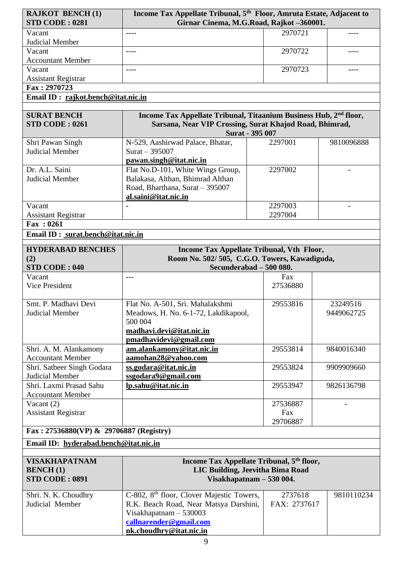| <b>RAJKOT BENCH(1)</b>                             | Income Tax Appellate Tribunal, 5 <sup>th</sup> Floor, Amruta Estate, Adjacent to                                                         |              |            |
|----------------------------------------------------|------------------------------------------------------------------------------------------------------------------------------------------|--------------|------------|
| <b>STD CODE: 0281</b>                              | Girnar Cinema, M.G.Road, Rajkot -360001.                                                                                                 |              |            |
| Vacant                                             |                                                                                                                                          | 2970721      |            |
| Judicial Member                                    |                                                                                                                                          |              |            |
| Vacant                                             | $\frac{1}{2}$                                                                                                                            | 2970722      | ----       |
| <b>Accountant Member</b>                           |                                                                                                                                          |              |            |
| Vacant                                             | $- - - -$                                                                                                                                | 2970723      | ----       |
| <b>Assistant Registrar</b>                         |                                                                                                                                          |              |            |
| Fax: 2970723                                       |                                                                                                                                          |              |            |
| Email ID: rajkot.bench@itat.nic.in                 |                                                                                                                                          |              |            |
|                                                    |                                                                                                                                          |              |            |
| <b>SURAT BENCH</b><br>STD CODE: 0261               | Income Tax Appellate Tribunal, Titaanium Business Hub, 2 <sup>nd</sup> floor,<br>Sarsana, Near VIP Crossing, Surat Khajod Road, Bhimrad, |              |            |
|                                                    | Surat - 395 007                                                                                                                          |              |            |
| Shri Pawan Singh                                   | N-529, Aashirwad Palace, Bhatar,                                                                                                         | 2297001      | 9810096888 |
| Judicial Member                                    | Surat $-395007$                                                                                                                          |              |            |
|                                                    | pawan.singh@itat.nic.in                                                                                                                  |              |            |
| Dr. A.L. Saini                                     | Flat No.D-101, White Wings Group,                                                                                                        | 2297002      |            |
| Judicial Member                                    | Balakasa, Althan, Bhimrad Althan                                                                                                         |              |            |
|                                                    | Road, Bharthana, Surat - 395007                                                                                                          |              |            |
|                                                    | al.saini@itat.nic.in                                                                                                                     |              |            |
| Vacant                                             |                                                                                                                                          | 2297003      |            |
| <b>Assistant Registrar</b>                         |                                                                                                                                          | 2297004      |            |
| Fax: 0261                                          |                                                                                                                                          |              |            |
| Email ID: surat.bench@itat.nic.in                  |                                                                                                                                          |              |            |
|                                                    |                                                                                                                                          |              |            |
| <b>HYDERABAD BENCHES</b>                           | Income Tax Appellate Tribunal, Vth Floor,                                                                                                |              |            |
| (2)                                                | Room No. 502/505, C.G.O. Towers, Kawadiguda,                                                                                             |              |            |
| <b>STD CODE: 040</b>                               | Secunderabad - 500 080.                                                                                                                  |              |            |
| Vacant                                             | ---                                                                                                                                      | Fax          |            |
| <b>Vice President</b>                              |                                                                                                                                          | 27536880     |            |
|                                                    |                                                                                                                                          |              |            |
| Smt. P. Madhavi Devi                               | Flat No. A-501, Sri. Mahalakshmi                                                                                                         | 29553816     | 23249516   |
| Judicial Member                                    | Meadows, H. No. 6-1-72, Lakdikapool,                                                                                                     |              | 9449062725 |
|                                                    | 500 004                                                                                                                                  |              |            |
|                                                    | madhavi.devi@itat.nic.in                                                                                                                 |              |            |
|                                                    | pmadhavidevi@gmail.com                                                                                                                   | 29553814     | 9840016340 |
| Shri. A. M. Alankamony<br><b>Accountant Member</b> | am.alankamony@itat.nic.in<br>aamohan28@yahoo.com                                                                                         |              |            |
| Shri. Satbeer Singh Godara                         | ss.godara@itat.nic.in                                                                                                                    | 29553824     | 9909909660 |
| Judicial Member                                    | ssgodara9@gmail.com                                                                                                                      |              |            |
| Shri, Laxmi Prasad Sahu                            | lp.sahu@itat.nic.in                                                                                                                      | 29553947     | 9826136798 |
| <b>Accountant Member</b>                           |                                                                                                                                          |              |            |
| Vacant $(2)$                                       |                                                                                                                                          | 27536887     |            |
| <b>Assistant Registrar</b>                         |                                                                                                                                          | Fax          |            |
|                                                    |                                                                                                                                          | 29706887     |            |
| Fax: 27536880(VP) & 29706887 (Registry)            |                                                                                                                                          |              |            |
| Email ID: hyderabad.bench@itat.nic.in              |                                                                                                                                          |              |            |
|                                                    |                                                                                                                                          |              |            |
| <b>VISAKHAPATNAM</b>                               | Income Tax Appellate Tribunal, 5 <sup>th</sup> floor,                                                                                    |              |            |
| <b>BENCH(1)</b>                                    | LIC Building, Jeevitha Bima Road                                                                                                         |              |            |
| <b>STD CODE: 0891</b>                              | Visakhapatnam - 530 004.                                                                                                                 |              |            |
|                                                    |                                                                                                                                          |              |            |
| Shri. N. K. Choudhry                               |                                                                                                                                          | 2737618      | 9810110234 |
|                                                    | C-802, 8 <sup>th</sup> floor, Clover Majestic Towers,                                                                                    |              |            |
| Judicial Member                                    | R.K. Beach Road, Near Matsya Darshini,                                                                                                   | FAX: 2737617 |            |
|                                                    | Visakhapatnam $-530003$                                                                                                                  |              |            |
|                                                    | callnarender@gmail.com                                                                                                                   |              |            |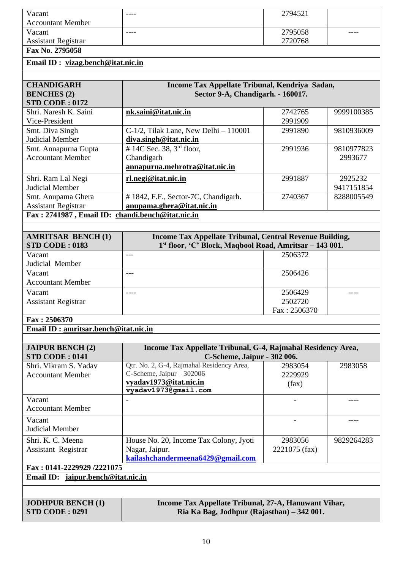| Vacant                     | ---- | 2794521 |      |
|----------------------------|------|---------|------|
| <b>Accountant Member</b>   |      |         |      |
| Vacant                     | ---- | 2795058 | ---- |
| <b>Assistant Registrar</b> |      | 2720768 |      |
| Fax No. 2795058            |      |         |      |

## **Email ID : [vizag.bench@itat.nic.in](mailto:vizag.bench@itat.nic.in)**

| <b>CHANDIGARH</b>                                | Income Tax Appellate Tribunal, Kendriya Sadan, |         |            |  |
|--------------------------------------------------|------------------------------------------------|---------|------------|--|
| <b>BENCHES</b> (2)                               | Sector 9-A, Chandigarh. - 160017.              |         |            |  |
| <b>STD CODE: 0172</b>                            |                                                |         |            |  |
| Shri. Naresh K. Saini                            | nk.saini@itat.nic.in                           | 2742765 | 9999100385 |  |
| Vice-President                                   |                                                | 2991909 |            |  |
| Smt. Diva Singh                                  | $C-1/2$ , Tilak Lane, New Delhi $-110001$      | 2991890 | 9810936009 |  |
| Judicial Member                                  | diva.singh@itat.nic.in                         |         |            |  |
| Smt. Annapurna Gupta                             | # 14C Sec. 38, $3rd$ floor,                    | 2991936 | 9810977823 |  |
| <b>Accountant Member</b>                         | Chandigarh                                     |         | 2993677    |  |
|                                                  | annapurna.mehrotra@itat.nic.in                 |         |            |  |
| Shri. Ram Lal Negi                               | rl.negi@itat.nic.in                            | 2991887 | 2925232    |  |
| Judicial Member                                  |                                                |         | 9417151854 |  |
| Smt. Anupama Ghera                               | # 1842, F.F., Sector-7C, Chandigarh.           | 2740367 | 8288005549 |  |
| <b>Assistant Registrar</b>                       | anupama.ghera@itat.nic.in                      |         |            |  |
| Fax: 2741987, Email ID: chandi.bench@itat.nic.in |                                                |         |            |  |

| <b>AMRITSAR BENCH (1)</b><br><b>STD CODE: 0183</b> | Income Tax Appellate Tribunal, Central Revenue Building,<br>1st floor, 'C' Block, Maqbool Road, Amritsar – 143 001. |              |  |
|----------------------------------------------------|---------------------------------------------------------------------------------------------------------------------|--------------|--|
| Vacant                                             | ---                                                                                                                 | 2506372      |  |
| Judicial Member                                    |                                                                                                                     |              |  |
| Vacant                                             | $- - -$                                                                                                             | 2506426      |  |
| <b>Accountant Member</b>                           |                                                                                                                     |              |  |
| Vacant                                             |                                                                                                                     | 2506429      |  |
| <b>Assistant Registrar</b>                         |                                                                                                                     | 2502720      |  |
|                                                    |                                                                                                                     | Fax: 2506370 |  |
| Fax: 2506370                                       |                                                                                                                     |              |  |

## **Email ID : [amritsar.bench@itat.nic.in](mailto:amritsar.bench@itat.nic.in)**

| <b>JAIPUR BENCH (2)</b>                                                          | Income Tax Appellate Tribunal, G-4, Rajmahal Residency Area, |               |            |  |  |  |
|----------------------------------------------------------------------------------|--------------------------------------------------------------|---------------|------------|--|--|--|
| <b>STD CODE: 0141</b>                                                            | C-Scheme, Jaipur - 302 006.                                  |               |            |  |  |  |
| Shri. Vikram S. Yadav                                                            | Qtr. No. 2, G-4, Rajmahal Residency Area,                    | 2983054       | 2983058    |  |  |  |
| <b>Accountant Member</b>                                                         | C-Scheme, Jaipur $-302006$                                   | 2229929       |            |  |  |  |
|                                                                                  | vyadav1973@itat.nic.in                                       | (fax)         |            |  |  |  |
|                                                                                  | vyadav1973@gmail.com                                         |               |            |  |  |  |
| Vacant                                                                           |                                                              |               |            |  |  |  |
| <b>Accountant Member</b>                                                         |                                                              |               |            |  |  |  |
| Vacant                                                                           |                                                              |               |            |  |  |  |
| Judicial Member                                                                  |                                                              |               |            |  |  |  |
| Shri. K. C. Meena                                                                | House No. 20, Income Tax Colony, Jyoti                       | 2983056       | 9829264283 |  |  |  |
| Assistant Registrar                                                              | Nagar, Jaipur.                                               | 2221075 (fax) |            |  |  |  |
|                                                                                  | kailashchandermeena6429@gmail.com                            |               |            |  |  |  |
| Fax: 0141-2229929 /2221075                                                       |                                                              |               |            |  |  |  |
| Email ID: jaipur.bench@itat.nic.in                                               |                                                              |               |            |  |  |  |
|                                                                                  |                                                              |               |            |  |  |  |
| <b>JODHPUR BENCH (1)</b><br>Income Tax Appellate Tribunal, 27-A, Hanuwant Vihar, |                                                              |               |            |  |  |  |
| <b>STD CODE: 0291</b>                                                            | Ria Ka Bag, Jodhpur (Rajasthan) – 342 001.                   |               |            |  |  |  |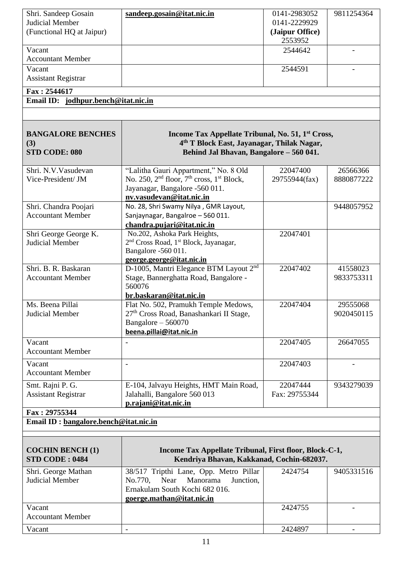| Shri. Sandeep Gosain                             | sandeep.gosain@itat.nic.in                                                                                                                                         | 0141-2983052    | 9811254364 |  |
|--------------------------------------------------|--------------------------------------------------------------------------------------------------------------------------------------------------------------------|-----------------|------------|--|
| Judicial Member                                  |                                                                                                                                                                    | 0141-2229929    |            |  |
| (Functional HQ at Jaipur)                        |                                                                                                                                                                    | (Jaipur Office) |            |  |
|                                                  |                                                                                                                                                                    | 2553952         |            |  |
| Vacant                                           |                                                                                                                                                                    | 2544642         |            |  |
| <b>Accountant Member</b>                         |                                                                                                                                                                    |                 |            |  |
| Vacant                                           |                                                                                                                                                                    | 2544591         |            |  |
| <b>Assistant Registrar</b>                       |                                                                                                                                                                    |                 |            |  |
| Fax: 2544617                                     |                                                                                                                                                                    |                 |            |  |
| Email ID: jodhpur.bench@itat.nic.in              |                                                                                                                                                                    |                 |            |  |
|                                                  |                                                                                                                                                                    |                 |            |  |
|                                                  |                                                                                                                                                                    |                 |            |  |
| <b>BANGALORE BENCHES</b><br>(3)<br>STD CODE: 080 | Income Tax Appellate Tribunal, No. 51, 1 <sup>st</sup> Cross,<br>4 <sup>th</sup> T Block East, Jayanagar, Thilak Nagar,<br>Behind Jal Bhavan, Bangalore - 560 041. |                 |            |  |
|                                                  |                                                                                                                                                                    |                 |            |  |
| Shri, N.V. Vasudevan                             | "Lalitha Gauri Appartment," No. 8 Old                                                                                                                              | 22047400        | 26566366   |  |
| Vice-President/ JM                               | No. 250, $2nd$ floor, $7th$ cross, $1st$ Block,                                                                                                                    | 29755944(fax)   | 8880877222 |  |
|                                                  | Jayanagar, Bangalore -560 011.                                                                                                                                     |                 |            |  |
|                                                  | nv.vasudevan@itat.nic.in                                                                                                                                           |                 |            |  |
| Shri. Chandra Poojari                            | No. 28, Shri Swamy Nilya, GMR Layout,                                                                                                                              |                 | 9448057952 |  |
| <b>Accountant Member</b>                         | Sanjaynagar, Bangalroe - 560 011.                                                                                                                                  |                 |            |  |
|                                                  | chandra.pujari@itat.nic.in                                                                                                                                         | 22047401        |            |  |
| Shri George George K.<br><b>Judicial Member</b>  | No.202, Ashoka Park Heights,<br>2 <sup>nd</sup> Cross Road, 1 <sup>st</sup> Block, Jayanagar,                                                                      |                 |            |  |
|                                                  | Bangalore -560 011.                                                                                                                                                |                 |            |  |
|                                                  | george.george@itat.nic.in                                                                                                                                          |                 |            |  |
| Shri. B. R. Baskaran                             | D-1005, Mantri Elegance BTM Layout 2 <sup>nd</sup>                                                                                                                 | 22047402        | 41558023   |  |
| <b>Accountant Member</b>                         | Stage, Bannerghatta Road, Bangalore -                                                                                                                              |                 | 9833753311 |  |
|                                                  | 560076                                                                                                                                                             |                 |            |  |
|                                                  | br.baskaran@itat.nic.in                                                                                                                                            |                 |            |  |
| Ms. Beena Pillai                                 | Flat No. 502, Pramukh Temple Medows,                                                                                                                               | 22047404        | 29555068   |  |
| Judicial Member                                  | 27 <sup>th</sup> Cross Road, Banashankari II Stage,                                                                                                                |                 | 9020450115 |  |
|                                                  | Bangalore $-560070$                                                                                                                                                |                 |            |  |
|                                                  | beena.pillai@itat.nic.in                                                                                                                                           |                 |            |  |
| Vacant                                           |                                                                                                                                                                    | 22047405        | 26647055   |  |
| <b>Accountant Member</b>                         |                                                                                                                                                                    |                 |            |  |
| Vacant                                           | $\overline{a}$                                                                                                                                                     | 22047403        |            |  |
| <b>Accountant Member</b>                         |                                                                                                                                                                    |                 |            |  |
|                                                  |                                                                                                                                                                    |                 |            |  |
| Smt. Rajni P. G.                                 | E-104, Jalvayu Heights, HMT Main Road,                                                                                                                             | 22047444        | 9343279039 |  |
| <b>Assistant Registrar</b>                       | Jalahalli, Bangalore 560 013                                                                                                                                       | Fax: 29755344   |            |  |
|                                                  | p.rajani@itat.nic.in                                                                                                                                               |                 |            |  |
| Fax: 29755344                                    |                                                                                                                                                                    |                 |            |  |
| Email ID: bangalore.bench@itat.nic.in            |                                                                                                                                                                    |                 |            |  |
|                                                  |                                                                                                                                                                    |                 |            |  |
|                                                  |                                                                                                                                                                    |                 |            |  |
| <b>COCHIN BENCH (1)</b>                          | Income Tax Appellate Tribunal, First floor, Block-C-1,                                                                                                             |                 |            |  |
| <b>STD CODE: 0484</b>                            | Kendriya Bhavan, Kakkanad, Cochin-682037.                                                                                                                          |                 |            |  |
| Shri. George Mathan                              | 38/517 Tripthi Lane, Opp. Metro Pillar                                                                                                                             | 2424754         | 9405331516 |  |
| <b>Judicial Member</b>                           | Near<br>Manorama<br>No.770,<br>Junction,                                                                                                                           |                 |            |  |
|                                                  | Ernakulam South Kochi 682 016.                                                                                                                                     |                 |            |  |
|                                                  | goerge.mathan@itat.nic.in                                                                                                                                          |                 |            |  |
| Vacant                                           |                                                                                                                                                                    | 2424755         |            |  |
| <b>Accountant Member</b>                         |                                                                                                                                                                    |                 |            |  |
| Vacant                                           | $\blacksquare$                                                                                                                                                     | 2424897         |            |  |